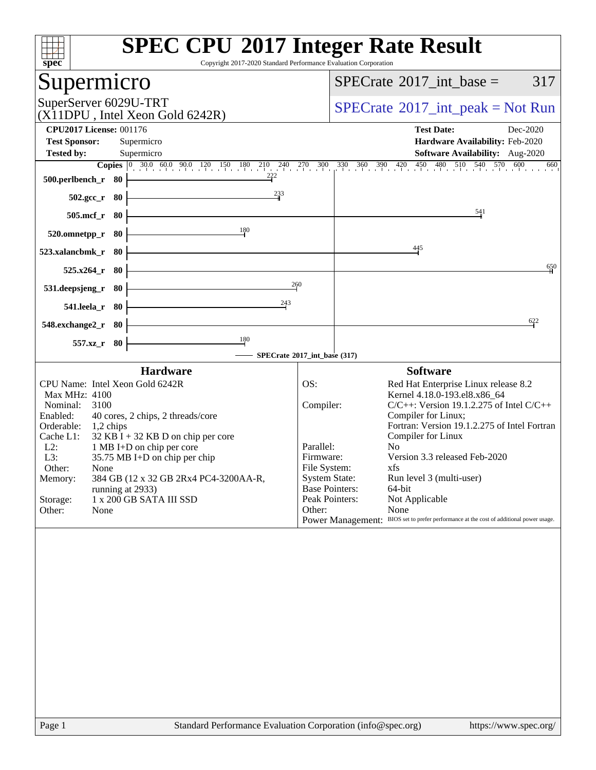| Copyright 2017-2020 Standard Performance Evaluation Corporation<br>$s\overline{pec}$                                                                                                                                                                                                                                                                                                                                                | <b>SPEC CPU®2017 Integer Rate Result</b>                                                                                                                                                                                                                                                                                                                                                                                                                                                                                                                               |     |
|-------------------------------------------------------------------------------------------------------------------------------------------------------------------------------------------------------------------------------------------------------------------------------------------------------------------------------------------------------------------------------------------------------------------------------------|------------------------------------------------------------------------------------------------------------------------------------------------------------------------------------------------------------------------------------------------------------------------------------------------------------------------------------------------------------------------------------------------------------------------------------------------------------------------------------------------------------------------------------------------------------------------|-----|
| Supermicro                                                                                                                                                                                                                                                                                                                                                                                                                          | 317<br>$SPECrate^{\circledast}2017\_int\_base =$                                                                                                                                                                                                                                                                                                                                                                                                                                                                                                                       |     |
| SuperServer 6029U-TRT<br>(X11DPU, Intel Xeon Gold 6242R)                                                                                                                                                                                                                                                                                                                                                                            | $SPECrate^{\circledast}2017\_int\_peak = Not Run$                                                                                                                                                                                                                                                                                                                                                                                                                                                                                                                      |     |
| <b>CPU2017 License: 001176</b>                                                                                                                                                                                                                                                                                                                                                                                                      | <b>Test Date:</b><br>Dec-2020                                                                                                                                                                                                                                                                                                                                                                                                                                                                                                                                          |     |
| <b>Test Sponsor:</b><br>Supermicro<br><b>Tested by:</b><br>Supermicro                                                                                                                                                                                                                                                                                                                                                               | Hardware Availability: Feb-2020<br><b>Software Availability:</b> Aug-2020                                                                                                                                                                                                                                                                                                                                                                                                                                                                                              |     |
|                                                                                                                                                                                                                                                                                                                                                                                                                                     | <b>Copies</b> $\begin{bmatrix} 0 & 30.0 & 60.0 & 90.0 & 120 & 150 & 180 & 210 & 240 & 270 & 300 & 330 & 360 & 390 & 420 & 450 & 480 & 510 & 540 & 570 & 600 \end{bmatrix}$                                                                                                                                                                                                                                                                                                                                                                                             | 660 |
| $\frac{222}{1}$<br>500.perlbench_r 80                                                                                                                                                                                                                                                                                                                                                                                               |                                                                                                                                                                                                                                                                                                                                                                                                                                                                                                                                                                        |     |
| $^{233}$<br>502.gcc_r 80                                                                                                                                                                                                                                                                                                                                                                                                            |                                                                                                                                                                                                                                                                                                                                                                                                                                                                                                                                                                        |     |
| 505.mcf_r 80                                                                                                                                                                                                                                                                                                                                                                                                                        | 541                                                                                                                                                                                                                                                                                                                                                                                                                                                                                                                                                                    |     |
| 180<br>520.omnetpp_r<br>- 80                                                                                                                                                                                                                                                                                                                                                                                                        |                                                                                                                                                                                                                                                                                                                                                                                                                                                                                                                                                                        |     |
| 523.xalancbmk_r 80                                                                                                                                                                                                                                                                                                                                                                                                                  | $\frac{445}{4}$                                                                                                                                                                                                                                                                                                                                                                                                                                                                                                                                                        |     |
| $525.x264_r$ 80                                                                                                                                                                                                                                                                                                                                                                                                                     |                                                                                                                                                                                                                                                                                                                                                                                                                                                                                                                                                                        | 650 |
| 260<br>531.deepsjeng_r 80<br>243                                                                                                                                                                                                                                                                                                                                                                                                    |                                                                                                                                                                                                                                                                                                                                                                                                                                                                                                                                                                        |     |
| 541.leela_r 80                                                                                                                                                                                                                                                                                                                                                                                                                      | 622                                                                                                                                                                                                                                                                                                                                                                                                                                                                                                                                                                    |     |
| 548.exchange2_r 80<br>$\frac{180}{2}$                                                                                                                                                                                                                                                                                                                                                                                               |                                                                                                                                                                                                                                                                                                                                                                                                                                                                                                                                                                        |     |
| 557.xz_r 80                                                                                                                                                                                                                                                                                                                                                                                                                         | SPECrate®2017_int_base (317)                                                                                                                                                                                                                                                                                                                                                                                                                                                                                                                                           |     |
| <b>Hardware</b>                                                                                                                                                                                                                                                                                                                                                                                                                     | <b>Software</b>                                                                                                                                                                                                                                                                                                                                                                                                                                                                                                                                                        |     |
| CPU Name: Intel Xeon Gold 6242R<br>Max MHz: 4100<br>Nominal: 3100<br>40 cores, 2 chips, 2 threads/core<br>Enabled:<br>Orderable: 1,2 chips<br>Cache L1:<br>$32$ KB I + 32 KB D on chip per core<br>$L2$ :<br>1 MB I+D on chip per core<br>L3:<br>$35.75$ MB I+D on chip per chip<br>Other:<br>None<br>384 GB (12 x 32 GB 2Rx4 PC4-3200AA-R,<br>Memory:<br>running at 2933)<br>1 x 200 GB SATA III SSD<br>Storage:<br>Other:<br>None | OS:<br>Red Hat Enterprise Linux release 8.2<br>Kernel 4.18.0-193.el8.x86_64<br>Compiler:<br>$C/C++$ : Version 19.1.2.275 of Intel $C/C++$<br>Compiler for Linux;<br>Fortran: Version 19.1.2.275 of Intel Fortran<br>Compiler for Linux<br>No<br>Parallel:<br>Version 3.3 released Feb-2020<br>Firmware:<br>File System:<br>xfs<br><b>System State:</b><br>Run level 3 (multi-user)<br><b>Base Pointers:</b><br>64-bit<br>Peak Pointers:<br>Not Applicable<br>Other:<br>None<br>Power Management: BIOS set to prefer performance at the cost of additional power usage. |     |
|                                                                                                                                                                                                                                                                                                                                                                                                                                     |                                                                                                                                                                                                                                                                                                                                                                                                                                                                                                                                                                        |     |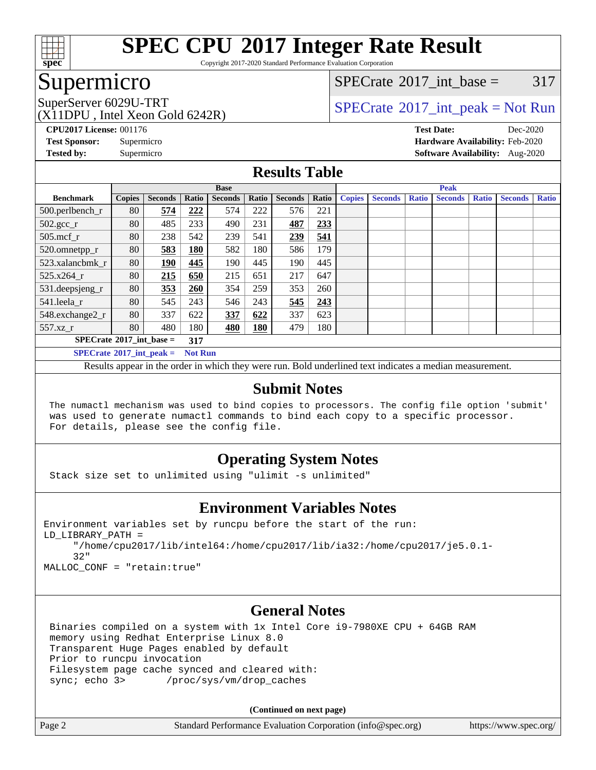

Copyright 2017-2020 Standard Performance Evaluation Corporation

### Supermicro

[SPECrate](http://www.spec.org/auto/cpu2017/Docs/result-fields.html#SPECrate2017intbase)<sup>®</sup>2017 int\_base =  $317$ 

(X11DPU , Intel Xeon Gold 6242R)

SuperServer 6029U-TRT  $SPECrate^{\circ}2017$  $SPECrate^{\circ}2017$ \_int\_peak = Not Run

**[CPU2017 License:](http://www.spec.org/auto/cpu2017/Docs/result-fields.html#CPU2017License)** 001176 **[Test Date:](http://www.spec.org/auto/cpu2017/Docs/result-fields.html#TestDate)** Dec-2020 **[Test Sponsor:](http://www.spec.org/auto/cpu2017/Docs/result-fields.html#TestSponsor)** Supermicro **[Hardware Availability:](http://www.spec.org/auto/cpu2017/Docs/result-fields.html#HardwareAvailability)** Feb-2020 **[Tested by:](http://www.spec.org/auto/cpu2017/Docs/result-fields.html#Testedby)** Supermicro **[Software Availability:](http://www.spec.org/auto/cpu2017/Docs/result-fields.html#SoftwareAvailability)** Aug-2020

### **[Results Table](http://www.spec.org/auto/cpu2017/Docs/result-fields.html#ResultsTable)**

|                                         | <b>Base</b>   |                |            |                |       | <b>Peak</b>    |       |               |                |              |                |              |                |              |
|-----------------------------------------|---------------|----------------|------------|----------------|-------|----------------|-------|---------------|----------------|--------------|----------------|--------------|----------------|--------------|
| <b>Benchmark</b>                        | <b>Copies</b> | <b>Seconds</b> | Ratio      | <b>Seconds</b> | Ratio | <b>Seconds</b> | Ratio | <b>Copies</b> | <b>Seconds</b> | <b>Ratio</b> | <b>Seconds</b> | <b>Ratio</b> | <b>Seconds</b> | <b>Ratio</b> |
| 500.perlbench_r                         | 80            | 574            | 222        | 574            | 222   | 576            | 221   |               |                |              |                |              |                |              |
| $502.\text{sec}$                        | 80            | 485            | 233        | 490            | 231   | 487            | 233   |               |                |              |                |              |                |              |
| $505$ .mcf_r                            | 80            | 238            | 542        | 239            | 541   | 239            | 541   |               |                |              |                |              |                |              |
| 520.omnetpp_r                           | 80            | 583            | <b>180</b> | 582            | 180   | 586            | 179   |               |                |              |                |              |                |              |
| 523.xalancbmk r                         | 80            | 190            | 445        | 190            | 445   | 190            | 445   |               |                |              |                |              |                |              |
| 525.x264 r                              | 80            | 215            | 650        | 215            | 651   | 217            | 647   |               |                |              |                |              |                |              |
| 531.deepsjeng_r                         | 80            | 353            | 260        | 354            | 259   | 353            | 260   |               |                |              |                |              |                |              |
| 541.leela r                             | 80            | 545            | 243        | 546            | 243   | 545            | 243   |               |                |              |                |              |                |              |
| 548.exchange2_r                         | 80            | 337            | 622        | 337            | 622   | 337            | 623   |               |                |              |                |              |                |              |
| 557.xz r                                | 80            | 480            | 180        | 480            | 180   | 479            | 180   |               |                |              |                |              |                |              |
| $SPECrate^{\circ}2017$ int base =       | 317           |                |            |                |       |                |       |               |                |              |                |              |                |              |
| $SPECrate$ <sup>®</sup> 2017_int_peak = |               |                |            | <b>Not Run</b> |       |                |       |               |                |              |                |              |                |              |

Results appear in the [order in which they were run](http://www.spec.org/auto/cpu2017/Docs/result-fields.html#RunOrder). Bold underlined text [indicates a median measurement](http://www.spec.org/auto/cpu2017/Docs/result-fields.html#Median).

### **[Submit Notes](http://www.spec.org/auto/cpu2017/Docs/result-fields.html#SubmitNotes)**

 The numactl mechanism was used to bind copies to processors. The config file option 'submit' was used to generate numactl commands to bind each copy to a specific processor. For details, please see the config file.

### **[Operating System Notes](http://www.spec.org/auto/cpu2017/Docs/result-fields.html#OperatingSystemNotes)**

Stack size set to unlimited using "ulimit -s unlimited"

### **[Environment Variables Notes](http://www.spec.org/auto/cpu2017/Docs/result-fields.html#EnvironmentVariablesNotes)**

```
Environment variables set by runcpu before the start of the run:
LD_LIBRARY_PATH =
      "/home/cpu2017/lib/intel64:/home/cpu2017/lib/ia32:/home/cpu2017/je5.0.1-
      32"
```
MALLOC\_CONF = "retain:true"

### **[General Notes](http://www.spec.org/auto/cpu2017/Docs/result-fields.html#GeneralNotes)**

 Binaries compiled on a system with 1x Intel Core i9-7980XE CPU + 64GB RAM memory using Redhat Enterprise Linux 8.0 Transparent Huge Pages enabled by default Prior to runcpu invocation Filesystem page cache synced and cleared with: sync; echo 3> /proc/sys/vm/drop\_caches

**(Continued on next page)**

| Page 2 | Standard Performance Evaluation Corporation (info@spec.org) | https://www.spec.org/ |
|--------|-------------------------------------------------------------|-----------------------|
|--------|-------------------------------------------------------------|-----------------------|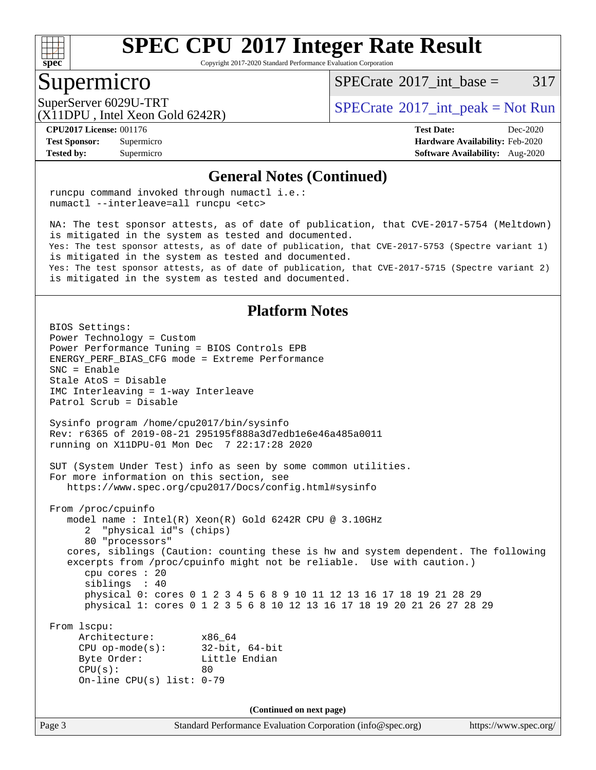

Copyright 2017-2020 Standard Performance Evaluation Corporation

### Supermicro

[SPECrate](http://www.spec.org/auto/cpu2017/Docs/result-fields.html#SPECrate2017intbase)<sup>®</sup>2017 int\_base =  $317$ 

(X11DPU , Intel Xeon Gold 6242R)

SuperServer 6029U-TRT  $S^{12}$  [SPECrate](http://www.spec.org/auto/cpu2017/Docs/result-fields.html#SPECrate2017intpeak)®[2017\\_int\\_peak = N](http://www.spec.org/auto/cpu2017/Docs/result-fields.html#SPECrate2017intpeak)ot Run

**[Tested by:](http://www.spec.org/auto/cpu2017/Docs/result-fields.html#Testedby)** Supermicro **[Software Availability:](http://www.spec.org/auto/cpu2017/Docs/result-fields.html#SoftwareAvailability)** Aug-2020

**[CPU2017 License:](http://www.spec.org/auto/cpu2017/Docs/result-fields.html#CPU2017License)** 001176 **[Test Date:](http://www.spec.org/auto/cpu2017/Docs/result-fields.html#TestDate)** Dec-2020 **[Test Sponsor:](http://www.spec.org/auto/cpu2017/Docs/result-fields.html#TestSponsor)** Supermicro **[Hardware Availability:](http://www.spec.org/auto/cpu2017/Docs/result-fields.html#HardwareAvailability)** Feb-2020

#### **[General Notes \(Continued\)](http://www.spec.org/auto/cpu2017/Docs/result-fields.html#GeneralNotes)**

 runcpu command invoked through numactl i.e.: numactl --interleave=all runcpu <etc>

 NA: The test sponsor attests, as of date of publication, that CVE-2017-5754 (Meltdown) is mitigated in the system as tested and documented. Yes: The test sponsor attests, as of date of publication, that CVE-2017-5753 (Spectre variant 1) is mitigated in the system as tested and documented. Yes: The test sponsor attests, as of date of publication, that CVE-2017-5715 (Spectre variant 2) is mitigated in the system as tested and documented.

### **[Platform Notes](http://www.spec.org/auto/cpu2017/Docs/result-fields.html#PlatformNotes)**

Page 3 Standard Performance Evaluation Corporation [\(info@spec.org\)](mailto:info@spec.org) <https://www.spec.org/> BIOS Settings: Power Technology = Custom Power Performance Tuning = BIOS Controls EPB ENERGY\_PERF\_BIAS\_CFG mode = Extreme Performance SNC = Enable Stale AtoS = Disable IMC Interleaving = 1-way Interleave Patrol Scrub = Disable Sysinfo program /home/cpu2017/bin/sysinfo Rev: r6365 of 2019-08-21 295195f888a3d7edb1e6e46a485a0011 running on X11DPU-01 Mon Dec 7 22:17:28 2020 SUT (System Under Test) info as seen by some common utilities. For more information on this section, see <https://www.spec.org/cpu2017/Docs/config.html#sysinfo> From /proc/cpuinfo model name : Intel(R) Xeon(R) Gold 6242R CPU @ 3.10GHz 2 "physical id"s (chips) 80 "processors" cores, siblings (Caution: counting these is hw and system dependent. The following excerpts from /proc/cpuinfo might not be reliable. Use with caution.) cpu cores : 20 siblings : 40 physical 0: cores 0 1 2 3 4 5 6 8 9 10 11 12 13 16 17 18 19 21 28 29 physical 1: cores 0 1 2 3 5 6 8 10 12 13 16 17 18 19 20 21 26 27 28 29 From lscpu: Architecture: x86\_64 CPU op-mode(s): 32-bit, 64-bit Byte Order: Little Endian  $CPU(s):$  80 On-line CPU(s) list: 0-79 **(Continued on next page)**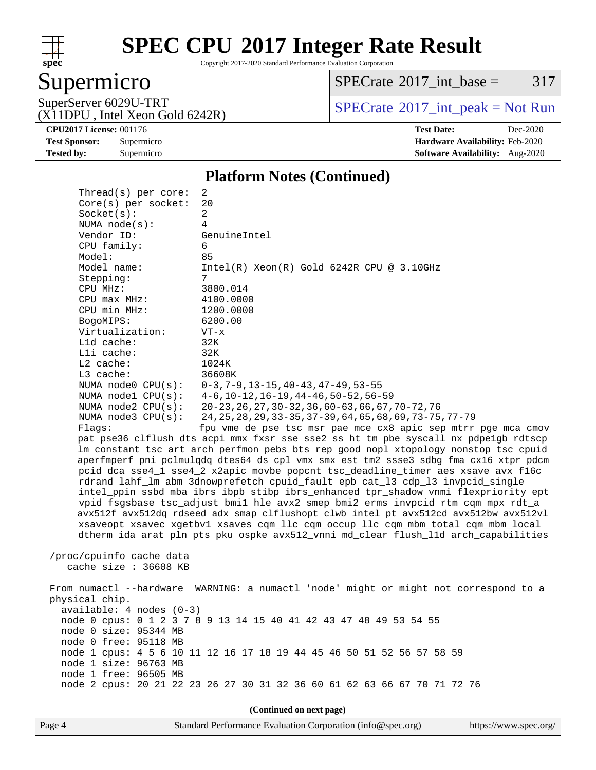

Copyright 2017-2020 Standard Performance Evaluation Corporation

### Supermicro

 $SPECTate@2017_int\_base = 317$ 

(X11DPU , Intel Xeon Gold 6242R)

SuperServer 6029U-TRT <br>(X11DPU Intel Xeon Gold 6242R) [SPECrate](http://www.spec.org/auto/cpu2017/Docs/result-fields.html#SPECrate2017intpeak)®[2017\\_int\\_peak = N](http://www.spec.org/auto/cpu2017/Docs/result-fields.html#SPECrate2017intpeak)ot Run

**[CPU2017 License:](http://www.spec.org/auto/cpu2017/Docs/result-fields.html#CPU2017License)** 001176 **[Test Date:](http://www.spec.org/auto/cpu2017/Docs/result-fields.html#TestDate)** Dec-2020 **[Test Sponsor:](http://www.spec.org/auto/cpu2017/Docs/result-fields.html#TestSponsor)** Supermicro **[Hardware Availability:](http://www.spec.org/auto/cpu2017/Docs/result-fields.html#HardwareAvailability)** Feb-2020 **[Tested by:](http://www.spec.org/auto/cpu2017/Docs/result-fields.html#Testedby)** Supermicro **Supermicro [Software Availability:](http://www.spec.org/auto/cpu2017/Docs/result-fields.html#SoftwareAvailability)** Aug-2020

#### **[Platform Notes \(Continued\)](http://www.spec.org/auto/cpu2017/Docs/result-fields.html#PlatformNotes)**

| Thread(s) per core:        | 2                                                                                    |  |  |  |  |  |
|----------------------------|--------------------------------------------------------------------------------------|--|--|--|--|--|
| Core(s) per socket:        | 20                                                                                   |  |  |  |  |  |
| Socket(s):                 | 2                                                                                    |  |  |  |  |  |
| NUMA node(s):              | 4                                                                                    |  |  |  |  |  |
| Vendor ID:                 | GenuineIntel                                                                         |  |  |  |  |  |
| CPU family:                | 6                                                                                    |  |  |  |  |  |
| Model:                     | 85                                                                                   |  |  |  |  |  |
| Model name:                | $Intel(R)$ Xeon $(R)$ Gold 6242R CPU @ 3.10GHz                                       |  |  |  |  |  |
| Stepping:                  | 7                                                                                    |  |  |  |  |  |
| CPU MHz:                   | 3800.014                                                                             |  |  |  |  |  |
| $CPU$ max $MHz$ :          | 4100.0000                                                                            |  |  |  |  |  |
| CPU min MHz:               | 1200.0000                                                                            |  |  |  |  |  |
| BogoMIPS:                  | 6200.00                                                                              |  |  |  |  |  |
| Virtualization:            | $VT - x$                                                                             |  |  |  |  |  |
| L1d cache:<br>Lli cache:   | 32K<br>32K                                                                           |  |  |  |  |  |
| $L2$ cache:                | 1024K                                                                                |  |  |  |  |  |
| L3 cache:                  | 36608K                                                                               |  |  |  |  |  |
| NUMA $node0$ $CPU(s)$ :    | $0-3, 7-9, 13-15, 40-43, 47-49, 53-55$                                               |  |  |  |  |  |
| NUMA nodel CPU(s):         | $4-6$ , $10-12$ , $16-19$ , $44-46$ , $50-52$ , $56-59$                              |  |  |  |  |  |
| NUMA $node2$ $CPU(s):$     | $20 - 23$ , 26, 27, 30 - 32, 36, 60 - 63, 66, 67, 70 - 72, 76                        |  |  |  |  |  |
| NUMA node3 CPU(s):         | 24, 25, 28, 29, 33-35, 37-39, 64, 65, 68, 69, 73-75, 77-79                           |  |  |  |  |  |
| Flaqs:                     | fpu vme de pse tsc msr pae mce cx8 apic sep mtrr pge mca cmov                        |  |  |  |  |  |
|                            | pat pse36 clflush dts acpi mmx fxsr sse sse2 ss ht tm pbe syscall nx pdpelgb rdtscp  |  |  |  |  |  |
|                            | lm constant_tsc art arch_perfmon pebs bts rep_good nopl xtopology nonstop_tsc cpuid  |  |  |  |  |  |
|                            | aperfmperf pni pclmulqdq dtes64 ds_cpl vmx smx est tm2 ssse3 sdbg fma cx16 xtpr pdcm |  |  |  |  |  |
|                            | pcid dca sse4_1 sse4_2 x2apic movbe popcnt tsc_deadline_timer aes xsave avx f16c     |  |  |  |  |  |
|                            | rdrand lahf_lm abm 3dnowprefetch cpuid_fault epb cat_13 cdp_13 invpcid_single        |  |  |  |  |  |
|                            | intel_ppin ssbd mba ibrs ibpb stibp ibrs_enhanced tpr_shadow vnmi flexpriority ept   |  |  |  |  |  |
|                            | vpid fsgsbase tsc_adjust bmil hle avx2 smep bmi2 erms invpcid rtm cqm mpx rdt_a      |  |  |  |  |  |
|                            | avx512f avx512dq rdseed adx smap clflushopt clwb intel_pt avx512cd avx512bw avx512vl |  |  |  |  |  |
|                            | xsaveopt xsavec xgetbvl xsaves cqm_llc cqm_occup_llc cqm_mbm_total cqm_mbm_local     |  |  |  |  |  |
|                            | dtherm ida arat pln pts pku ospke avx512_vnni md_clear flush_lld arch_capabilities   |  |  |  |  |  |
|                            |                                                                                      |  |  |  |  |  |
| /proc/cpuinfo cache data   |                                                                                      |  |  |  |  |  |
| cache size $: 36608$ KB    |                                                                                      |  |  |  |  |  |
|                            |                                                                                      |  |  |  |  |  |
|                            | From numactl --hardware WARNING: a numactl 'node' might or might not correspond to a |  |  |  |  |  |
| physical chip.             |                                                                                      |  |  |  |  |  |
| $available: 4 nodes (0-3)$ |                                                                                      |  |  |  |  |  |
|                            | node 0 cpus: 0 1 2 3 7 8 9 13 14 15 40 41 42 43 47 48 49 53 54 55                    |  |  |  |  |  |
| node 0 size: 95344 MB      |                                                                                      |  |  |  |  |  |
| node 0 free: 95118 MB      |                                                                                      |  |  |  |  |  |
|                            | node 1 cpus: 4 5 6 10 11 12 16 17 18 19 44 45 46 50 51 52 56 57 58 59                |  |  |  |  |  |
| node 1 size: 96763 MB      |                                                                                      |  |  |  |  |  |
| node 1 free: 96505 MB      |                                                                                      |  |  |  |  |  |
|                            | node 2 cpus: 20 21 22 23 26 27 30 31 32 36 60 61 62 63 66 67 70 71 72 76             |  |  |  |  |  |
|                            |                                                                                      |  |  |  |  |  |
| (Continued on next page)   |                                                                                      |  |  |  |  |  |

Page 4 Standard Performance Evaluation Corporation [\(info@spec.org\)](mailto:info@spec.org) <https://www.spec.org/>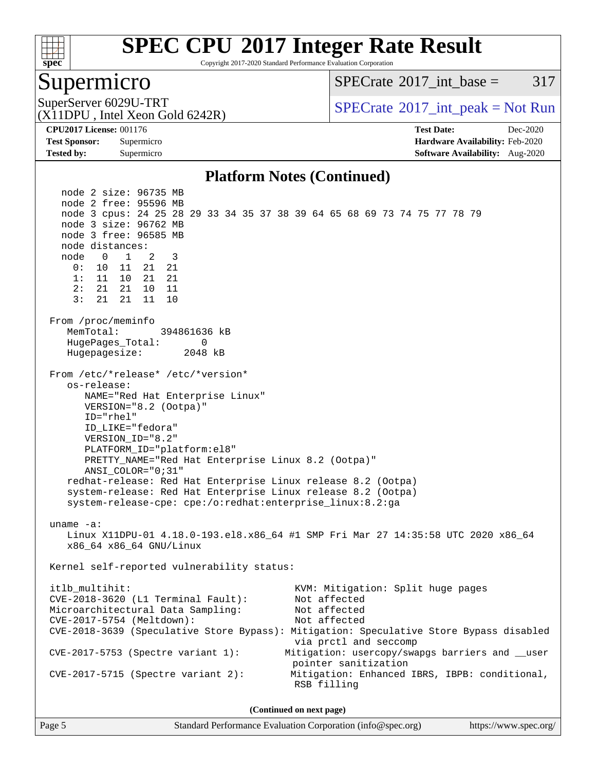

Copyright 2017-2020 Standard Performance Evaluation Corporation

### Supermicro

[SPECrate](http://www.spec.org/auto/cpu2017/Docs/result-fields.html#SPECrate2017intbase)<sup>®</sup>2017 int\_base =  $317$ 

(X11DPU , Intel Xeon Gold 6242R)

SuperServer 6029U-TRT  $SPECrate^{\circ}2017$  $SPECrate^{\circ}2017$ \_int\_peak = Not Run

**[Tested by:](http://www.spec.org/auto/cpu2017/Docs/result-fields.html#Testedby)** Supermicro **[Software Availability:](http://www.spec.org/auto/cpu2017/Docs/result-fields.html#SoftwareAvailability)** Aug-2020

**[CPU2017 License:](http://www.spec.org/auto/cpu2017/Docs/result-fields.html#CPU2017License)** 001176 **[Test Date:](http://www.spec.org/auto/cpu2017/Docs/result-fields.html#TestDate)** Dec-2020 **[Test Sponsor:](http://www.spec.org/auto/cpu2017/Docs/result-fields.html#TestSponsor)** Supermicro **[Hardware Availability:](http://www.spec.org/auto/cpu2017/Docs/result-fields.html#HardwareAvailability)** Feb-2020

### **[Platform Notes \(Continued\)](http://www.spec.org/auto/cpu2017/Docs/result-fields.html#PlatformNotes)**

 node 2 size: 96735 MB node 2 free: 95596 MB node 3 cpus: 24 25 28 29 33 34 35 37 38 39 64 65 68 69 73 74 75 77 78 79 node 3 size: 96762 MB node 3 free: 96585 MB node distances: node 0 1 2 3 0: 10 11 21 21 1: 11 10 21 21 2: 21 21 10 11 3: 21 21 11 10 From /proc/meminfo MemTotal: 394861636 kB HugePages\_Total: 0 Hugepagesize: 2048 kB From /etc/\*release\* /etc/\*version\* os-release: NAME="Red Hat Enterprise Linux" VERSION="8.2 (Ootpa)" ID="rhel" ID\_LIKE="fedora" VERSION\_ID="8.2" PLATFORM\_ID="platform:el8" PRETTY\_NAME="Red Hat Enterprise Linux 8.2 (Ootpa)" ANSI\_COLOR="0;31" redhat-release: Red Hat Enterprise Linux release 8.2 (Ootpa) system-release: Red Hat Enterprise Linux release 8.2 (Ootpa) system-release-cpe: cpe:/o:redhat:enterprise\_linux:8.2:ga uname -a: Linux X11DPU-01 4.18.0-193.el8.x86\_64 #1 SMP Fri Mar 27 14:35:58 UTC 2020 x86\_64 x86\_64 x86\_64 GNU/Linux Kernel self-reported vulnerability status: itlb\_multihit: KVM: Mitigation: Split huge pages<br>CVE-2018-3620 (L1 Terminal Fault): Not affected  $CVE-2018-3620$  (L1 Terminal Fault): Microarchitectural Data Sampling: Not affected CVE-2017-5754 (Meltdown): Not affected CVE-2018-3639 (Speculative Store Bypass): Mitigation: Speculative Store Bypass disabled via prctl and seccomp CVE-2017-5753 (Spectre variant 1): Mitigation: usercopy/swapgs barriers and \_\_user pointer sanitization CVE-2017-5715 (Spectre variant 2): Mitigation: Enhanced IBRS, IBPB: conditional, RSB filling **(Continued on next page)**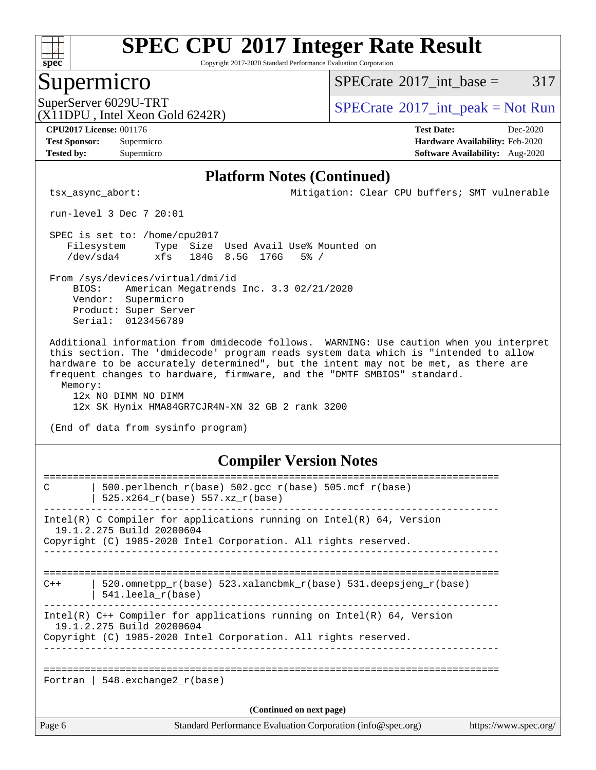

Copyright 2017-2020 Standard Performance Evaluation Corporation

### Supermicro

 $SPECTate$ <sup>®</sup>[2017\\_int\\_base =](http://www.spec.org/auto/cpu2017/Docs/result-fields.html#SPECrate2017intbase) 317

(X11DPU , Intel Xeon Gold 6242R)

SuperServer 6029U-TRT  $S^{12}$  [SPECrate](http://www.spec.org/auto/cpu2017/Docs/result-fields.html#SPECrate2017intpeak)®[2017\\_int\\_peak = N](http://www.spec.org/auto/cpu2017/Docs/result-fields.html#SPECrate2017intpeak)ot Run

**[CPU2017 License:](http://www.spec.org/auto/cpu2017/Docs/result-fields.html#CPU2017License)** 001176 **[Test Date:](http://www.spec.org/auto/cpu2017/Docs/result-fields.html#TestDate)** Dec-2020

**[Tested by:](http://www.spec.org/auto/cpu2017/Docs/result-fields.html#Testedby)** Supermicro **[Software Availability:](http://www.spec.org/auto/cpu2017/Docs/result-fields.html#SoftwareAvailability)** Aug-2020

**[Test Sponsor:](http://www.spec.org/auto/cpu2017/Docs/result-fields.html#TestSponsor)** Supermicro **[Hardware Availability:](http://www.spec.org/auto/cpu2017/Docs/result-fields.html#HardwareAvailability)** Feb-2020

### **[Platform Notes \(Continued\)](http://www.spec.org/auto/cpu2017/Docs/result-fields.html#PlatformNotes)**

tsx\_async\_abort: Mitigation: Clear CPU buffers; SMT vulnerable

run-level 3 Dec 7 20:01

 SPEC is set to: /home/cpu2017 Filesystem Type Size Used Avail Use% Mounted on /dev/sda4 xfs 184G 8.5G 176G 5% /

 From /sys/devices/virtual/dmi/id BIOS: American Megatrends Inc. 3.3 02/21/2020 Vendor: Supermicro Product: Super Server Serial: 0123456789

 Additional information from dmidecode follows. WARNING: Use caution when you interpret this section. The 'dmidecode' program reads system data which is "intended to allow hardware to be accurately determined", but the intent may not be met, as there are frequent changes to hardware, firmware, and the "DMTF SMBIOS" standard. Memory:

 12x NO DIMM NO DIMM 12x SK Hynix HMA84GR7CJR4N-XN 32 GB 2 rank 3200

(End of data from sysinfo program)

### **[Compiler Version Notes](http://www.spec.org/auto/cpu2017/Docs/result-fields.html#CompilerVersionNotes)**

| C                        | 500.perlbench_r(base) 502.gcc_r(base) 505.mcf_r(base)                                                 |                       |  |  |  |
|--------------------------|-------------------------------------------------------------------------------------------------------|-----------------------|--|--|--|
|                          | 525.x264 r(base) 557.xz r(base)                                                                       |                       |  |  |  |
|                          | Intel(R) C Compiler for applications running on Intel(R) $64$ , Version                               |                       |  |  |  |
|                          | 19.1.2.275 Build 20200604<br>Copyright (C) 1985-2020 Intel Corporation. All rights reserved.          |                       |  |  |  |
|                          |                                                                                                       |                       |  |  |  |
| $C++$                    | 520.omnetpp $r(base)$ 523.xalancbmk $r(base)$ 531.deepsjeng $r(base)$<br>$541.$ leela $r(base)$       |                       |  |  |  |
|                          | Intel(R) $C++$ Compiler for applications running on Intel(R) 64, Version<br>19.1.2.275 Build 20200604 |                       |  |  |  |
|                          | Copyright (C) 1985-2020 Intel Corporation. All rights reserved.                                       |                       |  |  |  |
|                          |                                                                                                       |                       |  |  |  |
|                          | Fortran   548.exchange2 $r(base)$                                                                     |                       |  |  |  |
| (Continued on next page) |                                                                                                       |                       |  |  |  |
| Page 6                   | Standard Performance Evaluation Corporation (info@spec.org)                                           | https://www.spec.org/ |  |  |  |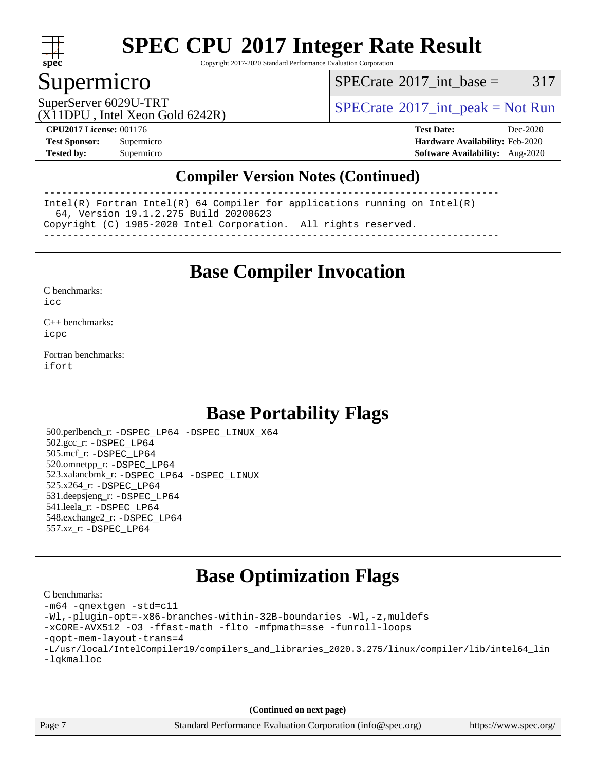

Copyright 2017-2020 Standard Performance Evaluation Corporation

### Supermicro

 $SPECTate@2017\_int\_base = 317$ 

SuperServer 6029U-TRT  $S^{12}$  [SPECrate](http://www.spec.org/auto/cpu2017/Docs/result-fields.html#SPECrate2017intpeak)®[2017\\_int\\_peak = N](http://www.spec.org/auto/cpu2017/Docs/result-fields.html#SPECrate2017intpeak)ot Run

(X11DPU , Intel Xeon Gold 6242R)

**[CPU2017 License:](http://www.spec.org/auto/cpu2017/Docs/result-fields.html#CPU2017License)** 001176 **[Test Date:](http://www.spec.org/auto/cpu2017/Docs/result-fields.html#TestDate)** Dec-2020 **[Test Sponsor:](http://www.spec.org/auto/cpu2017/Docs/result-fields.html#TestSponsor)** Supermicro **[Hardware Availability:](http://www.spec.org/auto/cpu2017/Docs/result-fields.html#HardwareAvailability)** Feb-2020 **[Tested by:](http://www.spec.org/auto/cpu2017/Docs/result-fields.html#Testedby)** Supermicro **[Software Availability:](http://www.spec.org/auto/cpu2017/Docs/result-fields.html#SoftwareAvailability)** Aug-2020

### **[Compiler Version Notes \(Continued\)](http://www.spec.org/auto/cpu2017/Docs/result-fields.html#CompilerVersionNotes)**

------------------------------------------------------------------------------ Intel(R) Fortran Intel(R) 64 Compiler for applications running on Intel(R) 64, Version 19.1.2.275 Build 20200623 Copyright (C) 1985-2020 Intel Corporation. All rights reserved. ------------------------------------------------------------------------------

**[Base Compiler Invocation](http://www.spec.org/auto/cpu2017/Docs/result-fields.html#BaseCompilerInvocation)**

[C benchmarks](http://www.spec.org/auto/cpu2017/Docs/result-fields.html#Cbenchmarks):  $i$ cc

[C++ benchmarks:](http://www.spec.org/auto/cpu2017/Docs/result-fields.html#CXXbenchmarks) [icpc](http://www.spec.org/cpu2017/results/res2020q4/cpu2017-20201207-24561.flags.html#user_CXXbase_intel_icpc_c510b6838c7f56d33e37e94d029a35b4a7bccf4766a728ee175e80a419847e808290a9b78be685c44ab727ea267ec2f070ec5dc83b407c0218cded6866a35d07)

[Fortran benchmarks](http://www.spec.org/auto/cpu2017/Docs/result-fields.html#Fortranbenchmarks): [ifort](http://www.spec.org/cpu2017/results/res2020q4/cpu2017-20201207-24561.flags.html#user_FCbase_intel_ifort_8111460550e3ca792625aed983ce982f94888b8b503583aa7ba2b8303487b4d8a21a13e7191a45c5fd58ff318f48f9492884d4413fa793fd88dd292cad7027ca)

### **[Base Portability Flags](http://www.spec.org/auto/cpu2017/Docs/result-fields.html#BasePortabilityFlags)**

 500.perlbench\_r: [-DSPEC\\_LP64](http://www.spec.org/cpu2017/results/res2020q4/cpu2017-20201207-24561.flags.html#b500.perlbench_r_basePORTABILITY_DSPEC_LP64) [-DSPEC\\_LINUX\\_X64](http://www.spec.org/cpu2017/results/res2020q4/cpu2017-20201207-24561.flags.html#b500.perlbench_r_baseCPORTABILITY_DSPEC_LINUX_X64) 502.gcc\_r: [-DSPEC\\_LP64](http://www.spec.org/cpu2017/results/res2020q4/cpu2017-20201207-24561.flags.html#suite_basePORTABILITY502_gcc_r_DSPEC_LP64) 505.mcf\_r: [-DSPEC\\_LP64](http://www.spec.org/cpu2017/results/res2020q4/cpu2017-20201207-24561.flags.html#suite_basePORTABILITY505_mcf_r_DSPEC_LP64) 520.omnetpp\_r: [-DSPEC\\_LP64](http://www.spec.org/cpu2017/results/res2020q4/cpu2017-20201207-24561.flags.html#suite_basePORTABILITY520_omnetpp_r_DSPEC_LP64) 523.xalancbmk\_r: [-DSPEC\\_LP64](http://www.spec.org/cpu2017/results/res2020q4/cpu2017-20201207-24561.flags.html#suite_basePORTABILITY523_xalancbmk_r_DSPEC_LP64) [-DSPEC\\_LINUX](http://www.spec.org/cpu2017/results/res2020q4/cpu2017-20201207-24561.flags.html#b523.xalancbmk_r_baseCXXPORTABILITY_DSPEC_LINUX) 525.x264\_r: [-DSPEC\\_LP64](http://www.spec.org/cpu2017/results/res2020q4/cpu2017-20201207-24561.flags.html#suite_basePORTABILITY525_x264_r_DSPEC_LP64) 531.deepsjeng\_r: [-DSPEC\\_LP64](http://www.spec.org/cpu2017/results/res2020q4/cpu2017-20201207-24561.flags.html#suite_basePORTABILITY531_deepsjeng_r_DSPEC_LP64) 541.leela\_r: [-DSPEC\\_LP64](http://www.spec.org/cpu2017/results/res2020q4/cpu2017-20201207-24561.flags.html#suite_basePORTABILITY541_leela_r_DSPEC_LP64) 548.exchange2\_r: [-DSPEC\\_LP64](http://www.spec.org/cpu2017/results/res2020q4/cpu2017-20201207-24561.flags.html#suite_basePORTABILITY548_exchange2_r_DSPEC_LP64) 557.xz\_r: [-DSPEC\\_LP64](http://www.spec.org/cpu2017/results/res2020q4/cpu2017-20201207-24561.flags.html#suite_basePORTABILITY557_xz_r_DSPEC_LP64)

### **[Base Optimization Flags](http://www.spec.org/auto/cpu2017/Docs/result-fields.html#BaseOptimizationFlags)**

[C benchmarks](http://www.spec.org/auto/cpu2017/Docs/result-fields.html#Cbenchmarks): [-m64](http://www.spec.org/cpu2017/results/res2020q4/cpu2017-20201207-24561.flags.html#user_CCbase_m64-icc) [-qnextgen](http://www.spec.org/cpu2017/results/res2020q4/cpu2017-20201207-24561.flags.html#user_CCbase_f-qnextgen) [-std=c11](http://www.spec.org/cpu2017/results/res2020q4/cpu2017-20201207-24561.flags.html#user_CCbase_std-icc-std_0e1c27790398a4642dfca32ffe6c27b5796f9c2d2676156f2e42c9c44eaad0c049b1cdb667a270c34d979996257aeb8fc440bfb01818dbc9357bd9d174cb8524) [-Wl,-plugin-opt=-x86-branches-within-32B-boundaries](http://www.spec.org/cpu2017/results/res2020q4/cpu2017-20201207-24561.flags.html#user_CCbase_f-x86-branches-within-32B-boundaries_0098b4e4317ae60947b7b728078a624952a08ac37a3c797dfb4ffeb399e0c61a9dd0f2f44ce917e9361fb9076ccb15e7824594512dd315205382d84209e912f3) [-Wl,-z,muldefs](http://www.spec.org/cpu2017/results/res2020q4/cpu2017-20201207-24561.flags.html#user_CCbase_link_force_multiple1_b4cbdb97b34bdee9ceefcfe54f4c8ea74255f0b02a4b23e853cdb0e18eb4525ac79b5a88067c842dd0ee6996c24547a27a4b99331201badda8798ef8a743f577) [-xCORE-AVX512](http://www.spec.org/cpu2017/results/res2020q4/cpu2017-20201207-24561.flags.html#user_CCbase_f-xCORE-AVX512) [-O3](http://www.spec.org/cpu2017/results/res2020q4/cpu2017-20201207-24561.flags.html#user_CCbase_f-O3) [-ffast-math](http://www.spec.org/cpu2017/results/res2020q4/cpu2017-20201207-24561.flags.html#user_CCbase_f-ffast-math) [-flto](http://www.spec.org/cpu2017/results/res2020q4/cpu2017-20201207-24561.flags.html#user_CCbase_f-flto) [-mfpmath=sse](http://www.spec.org/cpu2017/results/res2020q4/cpu2017-20201207-24561.flags.html#user_CCbase_f-mfpmath_70eb8fac26bde974f8ab713bc9086c5621c0b8d2f6c86f38af0bd7062540daf19db5f3a066d8c6684be05d84c9b6322eb3b5be6619d967835195b93d6c02afa1) [-funroll-loops](http://www.spec.org/cpu2017/results/res2020q4/cpu2017-20201207-24561.flags.html#user_CCbase_f-funroll-loops) [-qopt-mem-layout-trans=4](http://www.spec.org/cpu2017/results/res2020q4/cpu2017-20201207-24561.flags.html#user_CCbase_f-qopt-mem-layout-trans_fa39e755916c150a61361b7846f310bcdf6f04e385ef281cadf3647acec3f0ae266d1a1d22d972a7087a248fd4e6ca390a3634700869573d231a252c784941a8) [-L/usr/local/IntelCompiler19/compilers\\_and\\_libraries\\_2020.3.275/linux/compiler/lib/intel64\\_lin](http://www.spec.org/cpu2017/results/res2020q4/cpu2017-20201207-24561.flags.html#user_CCbase_linkpath_6eb3b1b8be403820338b5b82e7a1c217a861a8962ac718a6253be1483b50620487664a39a847caf560d84a6b8bab7cca33d9f414525a12ede1e9473db34a3d08) [-lqkmalloc](http://www.spec.org/cpu2017/results/res2020q4/cpu2017-20201207-24561.flags.html#user_CCbase_qkmalloc_link_lib_79a818439969f771c6bc311cfd333c00fc099dad35c030f5aab9dda831713d2015205805422f83de8875488a2991c0a156aaa600e1f9138f8fc37004abc96dc5)

**(Continued on next page)**

Page 7 Standard Performance Evaluation Corporation [\(info@spec.org\)](mailto:info@spec.org) <https://www.spec.org/>